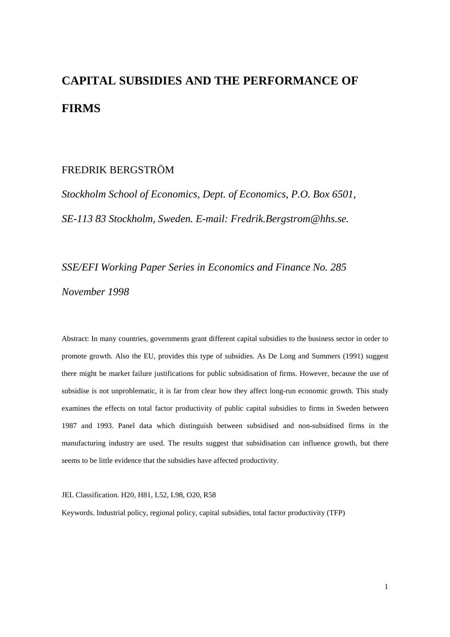# **CAPITAL SUBSIDIES AND THE PERFORMANCE OF FIRMS**

#### FREDRIK BERGSTRÖM

*Stockholm School of Economics, Dept. of Economics, P.O. Box 6501, SE-113 83 Stockholm, Sweden. E-mail: Fredrik.Bergstrom@hhs.se.*

*SSE/EFI Working Paper Series in Economics and Finance No. 285 November 1998*

Abstract: In many countries, governments grant different capital subsidies to the business sector in order to promote growth. Also the EU, provides this type of subsidies. As De Long and Summers (1991) suggest there might be market failure justifications for public subsidisation of firms. However, because the use of subsidise is not unproblematic, it is far from clear how they affect long-run economic growth. This study examines the effects on total factor productivity of public capital subsidies to firms in Sweden between 1987 and 1993. Panel data which distinguish between subsidised and non-subsidised firms in the manufacturing industry are used. The results suggest that subsidisation can influence growth, but there seems to be little evidence that the subsidies have affected productivity.

JEL Classification. H20, H81, L52, L98, O20, R58

Keywords. Industrial policy, regional policy, capital subsidies, total factor productivity (TFP)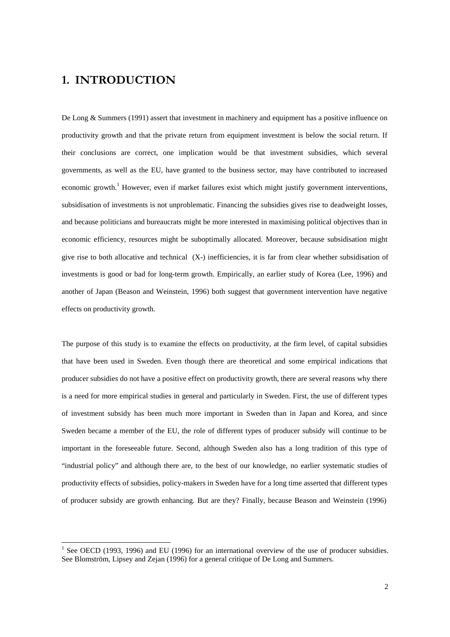## 1. INTRODUCTION

-

De Long & Summers (1991) assert that investment in machinery and equipment has a positive influence on productivity growth and that the private return from equipment investment is below the social return. If their conclusions are correct, one implication would be that investment subsidies, which several governments, as well as the EU, have granted to the business sector, may have contributed to increased economic growth.<sup>1</sup> However, even if market failures exist which might justify government interventions, subsidisation of investments is not unproblematic. Financing the subsidies gives rise to deadweight losses, and because politicians and bureaucrats might be more interested in maximising political objectives than in economic efficiency, resources might be suboptimally allocated. Moreover, because subsidisation might give rise to both allocative and technical (X-) inefficiencies, it is far from clear whether subsidisation of investments is good or bad for long-term growth. Empirically, an earlier study of Korea (Lee, 1996) and another of Japan (Beason and Weinstein, 1996) both suggest that government intervention have negative effects on productivity growth.

The purpose of this study is to examine the effects on productivity, at the firm level, of capital subsidies that have been used in Sweden. Even though there are theoretical and some empirical indications that producer subsidies do not have a positive effect on productivity growth, there are several reasons why there is a need for more empirical studies in general and particularly in Sweden. First, the use of different types of investment subsidy has been much more important in Sweden than in Japan and Korea, and since Sweden became a member of the EU, the role of different types of producer subsidy will continue to be important in the foreseeable future. Second, although Sweden also has a long tradition of this type of "industrial policy" and although there are, to the best of our knowledge, no earlier systematic studies of productivity effects of subsidies, policy-makers in Sweden have for a long time asserted that different types of producer subsidy are growth enhancing. But are they? Finally, because Beason and Weinstein (1996)

<sup>&</sup>lt;sup>1</sup> See OECD (1993, 1996) and EU (1996) for an international overview of the use of producer subsidies. See Blomström, Lipsey and Zejan (1996) for a general critique of De Long and Summers.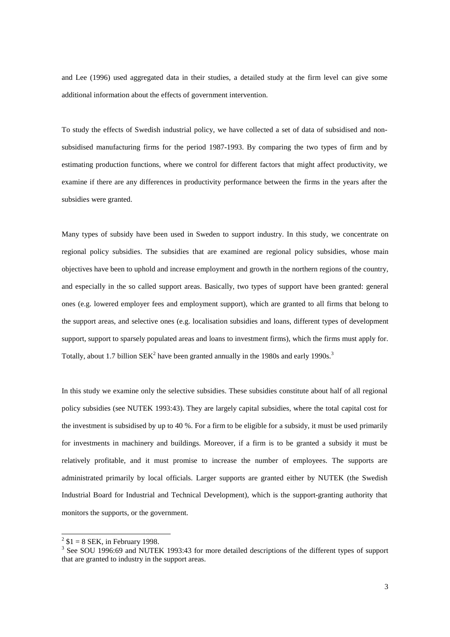and Lee (1996) used aggregated data in their studies, a detailed study at the firm level can give some additional information about the effects of government intervention.

To study the effects of Swedish industrial policy, we have collected a set of data of subsidised and nonsubsidised manufacturing firms for the period 1987-1993. By comparing the two types of firm and by estimating production functions, where we control for different factors that might affect productivity, we examine if there are any differences in productivity performance between the firms in the years after the subsidies were granted.

Many types of subsidy have been used in Sweden to support industry. In this study, we concentrate on regional policy subsidies. The subsidies that are examined are regional policy subsidies, whose main objectives have been to uphold and increase employment and growth in the northern regions of the country, and especially in the so called support areas. Basically, two types of support have been granted: general ones (e.g. lowered employer fees and employment support), which are granted to all firms that belong to the support areas, and selective ones (e.g. localisation subsidies and loans, different types of development support, support to sparsely populated areas and loans to investment firms), which the firms must apply for. Totally, about 1.7 billion  $SEK^2$  have been granted annually in the 1980s and early 1990s.<sup>3</sup>

In this study we examine only the selective subsidies. These subsidies constitute about half of all regional policy subsidies (see NUTEK 1993:43). They are largely capital subsidies, where the total capital cost for the investment is subsidised by up to 40 %. For a firm to be eligible for a subsidy, it must be used primarily for investments in machinery and buildings. Moreover, if a firm is to be granted a subsidy it must be relatively profitable, and it must promise to increase the number of employees. The supports are administrated primarily by local officials. Larger supports are granted either by NUTEK (the Swedish Industrial Board for Industrial and Technical Development), which is the support-granting authority that monitors the supports, or the government.

 $2^2$  \$1 = 8 SEK, in February 1998.

<sup>&</sup>lt;sup>3</sup> See SOU 1996:69 and NUTEK 1993:43 for more detailed descriptions of the different types of support that are granted to industry in the support areas.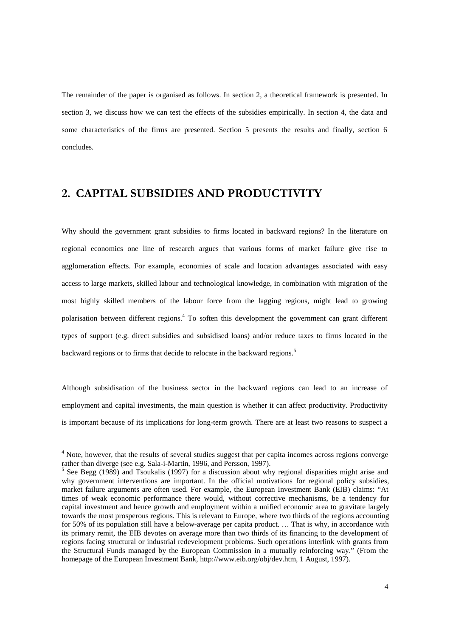The remainder of the paper is organised as follows. In section 2, a theoretical framework is presented. In section 3, we discuss how we can test the effects of the subsidies empirically. In section 4, the data and some characteristics of the firms are presented. Section 5 presents the results and finally, section 6 concludes.

#### 2. CAPITAL SUBSIDIES AND PRODUCTIVITY

Why should the government grant subsidies to firms located in backward regions? In the literature on regional economics one line of research argues that various forms of market failure give rise to agglomeration effects. For example, economies of scale and location advantages associated with easy access to large markets, skilled labour and technological knowledge, in combination with migration of the most highly skilled members of the labour force from the lagging regions, might lead to growing polarisation between different regions.<sup>4</sup> To soften this development the government can grant different types of support (e.g. direct subsidies and subsidised loans) and/or reduce taxes to firms located in the backward regions or to firms that decide to relocate in the backward regions.<sup>5</sup>

Although subsidisation of the business sector in the backward regions can lead to an increase of employment and capital investments, the main question is whether it can affect productivity. Productivity is important because of its implications for long-term growth. There are at least two reasons to suspect a

<sup>&</sup>lt;sup>4</sup> Note, however, that the results of several studies suggest that per capita incomes across regions converge rather than diverge (see e.g. Sala-i-Martin, 1996, and Persson, 1997).

<sup>&</sup>lt;sup>5</sup> See Begg (1989) and Tsoukalis (1997) for a discussion about why regional disparities might arise and why government interventions are important. In the official motivations for regional policy subsidies, market failure arguments are often used. For example, the European Investment Bank (EIB) claims: "At times of weak economic performance there would, without corrective mechanisms, be a tendency for capital investment and hence growth and employment within a unified economic area to gravitate largely towards the most prosperous regions. This is relevant to Europe, where two thirds of the regions accounting for 50% of its population still have a below-average per capita product. … That is why, in accordance with its primary remit, the EIB devotes on average more than two thirds of its financing to the development of regions facing structural or industrial redevelopment problems. Such operations interlink with grants from the Structural Funds managed by the European Commission in a mutually reinforcing way." (From the homepage of the European Investment Bank, http://www.eib.org/obj/dev.htm, 1 August, 1997).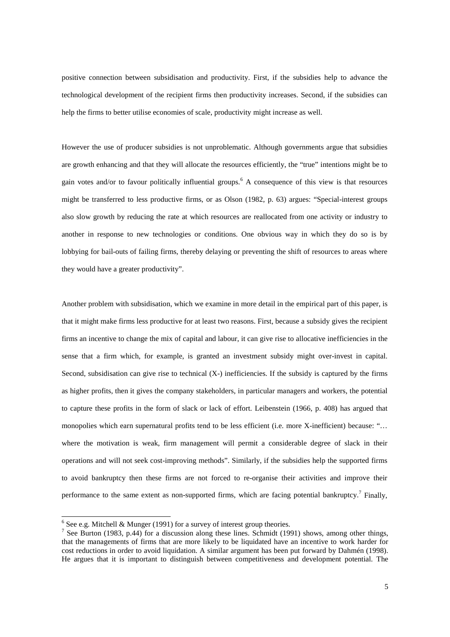positive connection between subsidisation and productivity. First, if the subsidies help to advance the technological development of the recipient firms then productivity increases. Second, if the subsidies can help the firms to better utilise economies of scale, productivity might increase as well.

However the use of producer subsidies is not unproblematic. Although governments argue that subsidies are growth enhancing and that they will allocate the resources efficiently, the "true" intentions might be to gain votes and/or to favour politically influential groups.<sup>6</sup> A consequence of this view is that resources might be transferred to less productive firms, or as Olson (1982, p. 63) argues: "Special-interest groups also slow growth by reducing the rate at which resources are reallocated from one activity or industry to another in response to new technologies or conditions. One obvious way in which they do so is by lobbying for bail-outs of failing firms, thereby delaying or preventing the shift of resources to areas where they would have a greater productivity".

Another problem with subsidisation, which we examine in more detail in the empirical part of this paper, is that it might make firms less productive for at least two reasons. First, because a subsidy gives the recipient firms an incentive to change the mix of capital and labour, it can give rise to allocative inefficiencies in the sense that a firm which, for example, is granted an investment subsidy might over-invest in capital. Second, subsidisation can give rise to technical  $(X<sub>-</sub>)$  inefficiencies. If the subsidy is captured by the firms as higher profits, then it gives the company stakeholders, in particular managers and workers, the potential to capture these profits in the form of slack or lack of effort. Leibenstein (1966, p. 408) has argued that monopolies which earn supernatural profits tend to be less efficient (i.e. more X-inefficient) because: "... where the motivation is weak, firm management will permit a considerable degree of slack in their operations and will not seek cost-improving methods". Similarly, if the subsidies help the supported firms to avoid bankruptcy then these firms are not forced to re-organise their activities and improve their performance to the same extent as non-supported firms, which are facing potential bankruptcy.<sup>7</sup> Finally,

 $6$  See e.g. Mitchell & Munger (1991) for a survey of interest group theories.

<sup>&</sup>lt;sup>7</sup> See Burton (1983, p.44) for a discussion along these lines. Schmidt (1991) shows, among other things, that the managements of firms that are more likely to be liquidated have an incentive to work harder for cost reductions in order to avoid liquidation. A similar argument has been put forward by Dahmén (1998). He argues that it is important to distinguish between competitiveness and development potential. The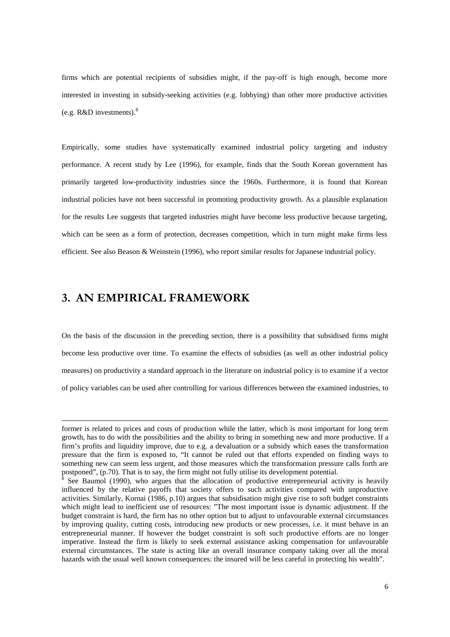firms which are potential recipients of subsidies might, if the pay-off is high enough, become more interested in investing in subsidy-seeking activities (e.g. lobbying) than other more productive activities (e.g.  $R&D$  investments).<sup>8</sup>

Empirically, some studies have systematically examined industrial policy targeting and industry performance. A recent study by Lee (1996), for example, finds that the South Korean government has primarily targeted low-productivity industries since the 1960s. Furthermore, it is found that Korean industrial policies have not been successful in promoting productivity growth. As a plausible explanation for the results Lee suggests that targeted industries might have become less productive because targeting, which can be seen as a form of protection, decreases competition, which in turn might make firms less efficient. See also Beason & Weinstein (1996), who report similar results for Japanese industrial policy.

#### 3. AN EMPIRICAL FRAMEWORK

l

On the basis of the discussion in the preceding section, there is a possibility that subsidised firms might become less productive over time. To examine the effects of subsidies (as well as other industrial policy measures) on productivity a standard approach in the literature on industrial policy is to examine if a vector of policy variables can be used after controlling for various differences between the examined industries, to

former is related to prices and costs of production while the latter, which is most important for long term growth, has to do with the possibilities and the ability to bring in something new and more productive. If a firm's profits and liquidity improve, due to e.g. a devaluation or a subsidy which eases the transformation pressure that the firm is exposed to, "It cannot be ruled out that efforts expended on finding ways to something new can seem less urgent, and those measures which the transformation pressure calls forth are postponed", (p.70). That is to say, the firm might not fully utilise its development potential.<br><sup>8</sup> See Baumel (1000), who argues that the ellecation of productive entrepreneurial as

See Baumol (1990), who argues that the allocation of productive entrepreneurial activity is heavily influenced by the relative payoffs that society offers to such activities compared with unproductive activities. Similarly, Kornai (1986, p.10) argues that subsidisation might give rise to soft budget constraints which might lead to inefficient use of resources: "The most important issue is dynamic adjustment. If the budget constraint is hard, the firm has no other option but to adjust to unfavourable external circumstances by improving quality, cutting costs, introducing new products or new processes, i.e. it must behave in an entrepreneurial manner. If however the budget constraint is soft such productive efforts are no longer imperative. Instead the firm is likely to seek external assistance asking compensation for unfavourable external circumstances. The state is acting like an overall insurance company taking over all the moral hazards with the usual well known consequences: the insured will be less careful in protecting his wealth".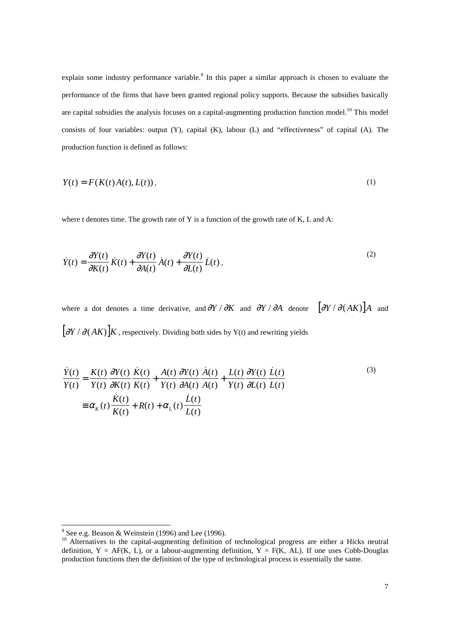explain some industry performance variable.<sup>9</sup> In this paper a similar approach is chosen to evaluate the performance of the firms that have been granted regional policy supports. Because the subsidies basically are capital subsidies the analysis focuses on a capital-augmenting production function model.<sup>10</sup> This model consists of four variables: output (Y), capital (K), labour (L) and "effectiveness" of capital (A). The production function is defined as follows:

$$
Y(t) = F(K(t)A(t), L(t)),
$$
\n<sup>(1)</sup>

where t denotes time. The growth rate of Y is a function of the growth rate of K, L and A:

$$
\dot{Y}(t) = \frac{\partial Y(t)}{\partial K(t)} \dot{K}(t) + \frac{\partial Y(t)}{\partial A(t)} \dot{A}(t) + \frac{\partial Y(t)}{\partial L(t)} \dot{L}(t),
$$
\n(2)

where a dot denotes a time derivative, and  $\partial Y / \partial K$  and  $\partial Y / \partial A$  denote  $[\partial Y / \partial (AK)]A$  and  $[\partial Y / \partial (AK)]K$ , respectively. Dividing both sides by Y(t) and rewriting yields

$$
\frac{\dot{Y}(t)}{Y(t)} = \frac{K(t)}{Y(t)} \frac{\partial Y(t)}{\partial K(t)} \frac{\dot{K}(t)}{K(t)} + \frac{A(t)}{Y(t)} \frac{\partial Y(t)}{\partial A(t)} \frac{\dot{A}(t)}{A(t)} + \frac{L(t)}{Y(t)} \frac{\partial Y(t)}{\partial L(t)} \frac{\dot{L}(t)}{L(t)}
$$
\n
$$
\equiv \alpha_K(t) \frac{\dot{K}(t)}{K(t)} + R(t) + \alpha_L(t) \frac{\dot{L}(t)}{L(t)}
$$
\n(3)

<sup>&</sup>lt;sup>9</sup> See e.g. Beason & Weinstein (1996) and Lee (1996).

<sup>10</sup> Alternatives to the capital-augmenting definition of technological progress are either a Hicks neutral definition,  $Y = AF(K, L)$ , or a labour-augmenting definition,  $Y = F(K, AL)$ . If one uses Cobb-Douglas production functions then the definition of the type of technological process is essentially the same.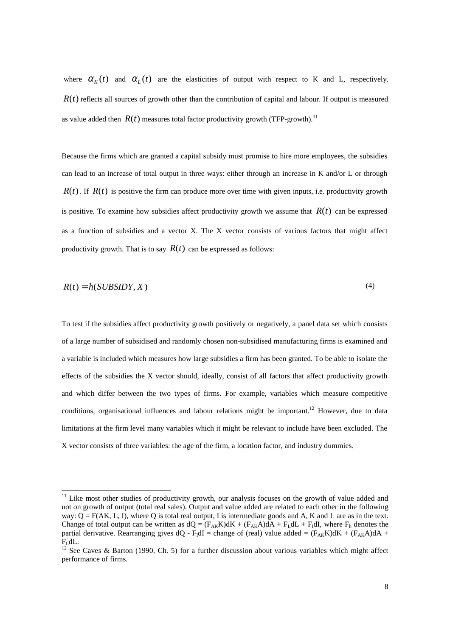where  $\alpha_{\kappa}(t)$  and  $\alpha_{\kappa}(t)$  are the elasticities of output with respect to K and L, respectively.  $R(t)$  reflects all sources of growth other than the contribution of capital and labour. If output is measured as value added then  $R(t)$  measures total factor productivity growth (TFP-growth).<sup>11</sup>

Because the firms which are granted a capital subsidy must promise to hire more employees, the subsidies can lead to an increase of total output in three ways: either through an increase in K and/or L or through  $R(t)$ . If  $R(t)$  is positive the firm can produce more over time with given inputs, i.e. productivity growth is positive. To examine how subsidies affect productivity growth we assume that  $R(t)$  can be expressed as a function of subsidies and a vector X. The X vector consists of various factors that might affect productivity growth. That is to say  $R(t)$  can be expressed as follows:

$$
R(t) = h(SUBSIDY, X)
$$
\n<sup>(4)</sup>

To test if the subsidies affect productivity growth positively or negatively, a panel data set which consists of a large number of subsidised and randomly chosen non-subsidised manufacturing firms is examined and a variable is included which measures how large subsidies a firm has been granted. To be able to isolate the effects of the subsidies the X vector should, ideally, consist of all factors that affect productivity growth and which differ between the two types of firms. For example, variables which measure competitive conditions, organisational influences and labour relations might be important.<sup>12</sup> However, due to data limitations at the firm level many variables which it might be relevant to include have been excluded. The X vector consists of three variables: the age of the firm, a location factor, and industry dummies.

 $11$  Like most other studies of productivity growth, our analysis focuses on the growth of value added and not on growth of output (total real sales). Output and value added are related to each other in the following way:  $Q = F(AK, L, I)$ , where Q is total real output, I is intermediate goods and A, K and L are as in the text. Change of total output can be written as  $dQ = (F_{AK}K)dK + (F_{AK}A)dA + F_LdL + F_1dI$ , where  $F_h$  denotes the partial derivative. Rearranging gives  $dQ$  -  $F_1dI$  = change of (real) value added =  $(F_{AK}K)dK + (F_{AK}A)dA + F_1dL$ .

See Caves & Barton (1990, Ch. 5) for a further discussion about various variables which might affect performance of firms.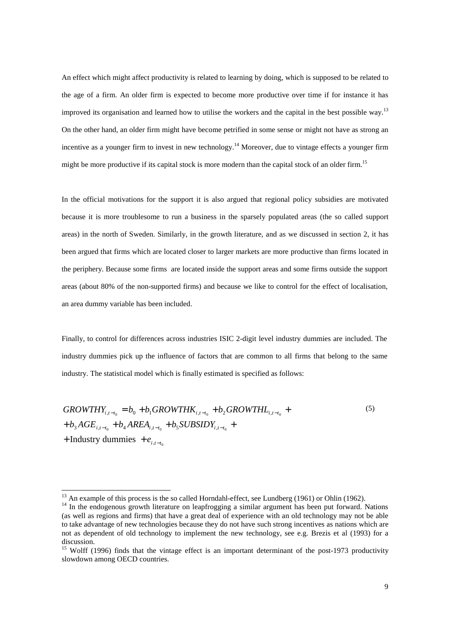An effect which might affect productivity is related to learning by doing, which is supposed to be related to the age of a firm. An older firm is expected to become more productive over time if for instance it has improved its organisation and learned how to utilise the workers and the capital in the best possible way.<sup>13</sup> On the other hand, an older firm might have become petrified in some sense or might not have as strong an incentive as a younger firm to invest in new technology.<sup>14</sup> Moreover, due to vintage effects a younger firm might be more productive if its capital stock is more modern than the capital stock of an older firm.<sup>15</sup>

In the official motivations for the support it is also argued that regional policy subsidies are motivated because it is more troublesome to run a business in the sparsely populated areas (the so called support areas) in the north of Sweden. Similarly, in the growth literature, and as we discussed in section 2, it has been argued that firms which are located closer to larger markets are more productive than firms located in the periphery. Because some firms are located inside the support areas and some firms outside the support areas (about 80% of the non-supported firms) and because we like to control for the effect of localisation, an area dummy variable has been included.

Finally, to control for differences across industries ISIC 2-digit level industry dummies are included. The industry dummies pick up the influence of factors that are common to all firms that belong to the same industry. The statistical model which is finally estimated is specified as follows:

$$
GROWTHY_{i,t-t_0} = b_0 + b_1 GROWTHK_{i,t-t_0} + b_2 GROWTHL_{i,t-t_0} + b_3 AGE_{i,t-t_0} + b_4 AREA_{i,t-t_0} + b_5 SUBSIDY_{i,t-t_0} +
$$
  
+ Industry dummies +  $e_{i,t-t_0}$ 

 $^{13}$  An example of this process is the so called Horndahl-effect, see Lundberg (1961) or Ohlin (1962).

<sup>&</sup>lt;sup>14</sup> In the endogenous growth literature on leapfrogging a similar argument has been put forward. Nations (as well as regions and firms) that have a great deal of experience with an old technology may not be able to take advantage of new technologies because they do not have such strong incentives as nations which are not as dependent of old technology to implement the new technology, see e.g. Brezis et al (1993) for a discussion.

<sup>&</sup>lt;sup>15</sup> Wolff (1996) finds that the vintage effect is an important determinant of the post-1973 productivity slowdown among OECD countries.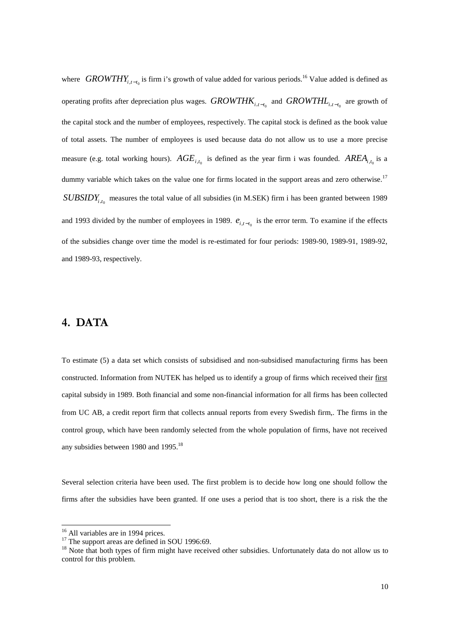where *GROWTHY*<sub>i,t-t<sub>0</sub></sub> is firm i's growth of value added for various periods.<sup>16</sup> Value added is defined as operating profits after depreciation plus wages. *GROWTHK*<sub>i,t-t<sub>0</sub></sub> and *GROWTHL*<sub>i,t-t<sub>0</sub></sub> are growth of the capital stock and the number of employees, respectively. The capital stock is defined as the book value of total assets. The number of employees is used because data do not allow us to use a more precise measure (e.g. total working hours).  $AGE_{i,t_0}$  is defined as the year firm i was founded.  $AREA_{i,t_0}$  is a dummy variable which takes on the value one for firms located in the support areas and zero otherwise.<sup>17</sup> *SUBSIDY<sub>ite</sub>* measures the total value of all subsidies (in M.SEK) firm i has been granted between 1989 and 1993 divided by the number of employees in 1989.  $e_{i,t-t_0}$  is the error term. To examine if the effects of the subsidies change over time the model is re-estimated for four periods: 1989-90, 1989-91, 1989-92, and 1989-93, respectively.

### 4. DATA

To estimate (5) a data set which consists of subsidised and non-subsidised manufacturing firms has been constructed. Information from NUTEK has helped us to identify a group of firms which received their first capital subsidy in 1989. Both financial and some non-financial information for all firms has been collected from UC AB, a credit report firm that collects annual reports from every Swedish firm,. The firms in the control group, which have been randomly selected from the whole population of firms, have not received any subsidies between 1980 and 1995.<sup>18</sup>

Several selection criteria have been used. The first problem is to decide how long one should follow the firms after the subsidies have been granted. If one uses a period that is too short, there is a risk the the

l

<sup>&</sup>lt;sup>16</sup> All variables are in 1994 prices.

 $17$  The support areas are defined in SOU 1996:69.

<sup>&</sup>lt;sup>18</sup> Note that both types of firm might have received other subsidies. Unfortunately data do not allow us to control for this problem.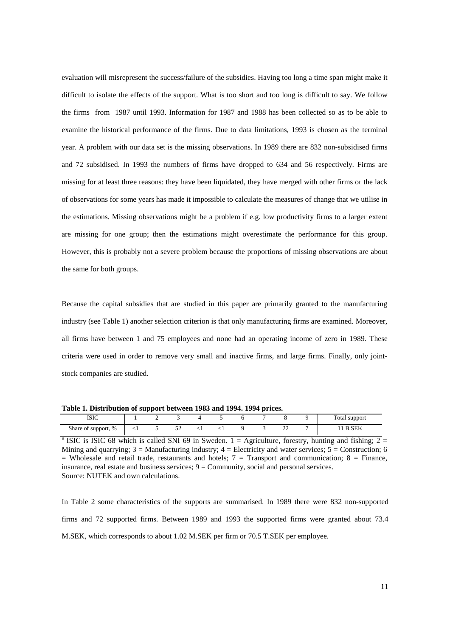evaluation will misrepresent the success/failure of the subsidies. Having too long a time span might make it difficult to isolate the effects of the support. What is too short and too long is difficult to say. We follow the firms from 1987 until 1993. Information for 1987 and 1988 has been collected so as to be able to examine the historical performance of the firms. Due to data limitations, 1993 is chosen as the terminal year. A problem with our data set is the missing observations. In 1989 there are 832 non-subsidised firms and 72 subsidised. In 1993 the numbers of firms have dropped to 634 and 56 respectively. Firms are missing for at least three reasons: they have been liquidated, they have merged with other firms or the lack of observations for some years has made it impossible to calculate the measures of change that we utilise in the estimations. Missing observations might be a problem if e.g. low productivity firms to a larger extent are missing for one group; then the estimations might overestimate the performance for this group. However, this is probably not a severe problem because the proportions of missing observations are about the same for both groups.

Because the capital subsidies that are studied in this paper are primarily granted to the manufacturing industry (see Table 1) another selection criterion is that only manufacturing firms are examined. Moreover, all firms have between 1 and 75 employees and none had an operating income of zero in 1989. These criteria were used in order to remove very small and inactive firms, and large firms. Finally, only jointstock companies are studied.

**Table 1. Distribution of support between 1983 and 1994. 1994 prices.**

| .<br>.                    | .   |            |           | .<br>. |  | .           |                              |
|---------------------------|-----|------------|-----------|--------|--|-------------|------------------------------|
| TCTC<br>12 IC             |     |            |           |        |  |             | Total support<br>**          |
| Share of support, %<br>** | ∼ ⊥ | <u>. .</u> | $\ddotsc$ |        |  | $\sim$<br>∸ | C <sub>F</sub><br>ĸ<br>D.SEN |

<sup>&</sup>lt;sup>a</sup> ISIC is ISIC 68 which is called SNI 69 in Sweden. 1 = Agriculture, forestry, hunting and fishing; 2 = Mining and quarrying;  $3 =$  Manufacturing industry;  $4 =$  Electricity and water services;  $5 =$  Construction; 6  $=$  Wholesale and retail trade, restaurants and hotels;  $7 =$  Transport and communication;  $8 =$  Finance, insurance, real estate and business services; 9 = Community, social and personal services. Source: NUTEK and own calculations.

In Table 2 some characteristics of the supports are summarised. In 1989 there were 832 non-supported firms and 72 supported firms. Between 1989 and 1993 the supported firms were granted about 73.4 M.SEK, which corresponds to about 1.02 M.SEK per firm or 70.5 T.SEK per employee.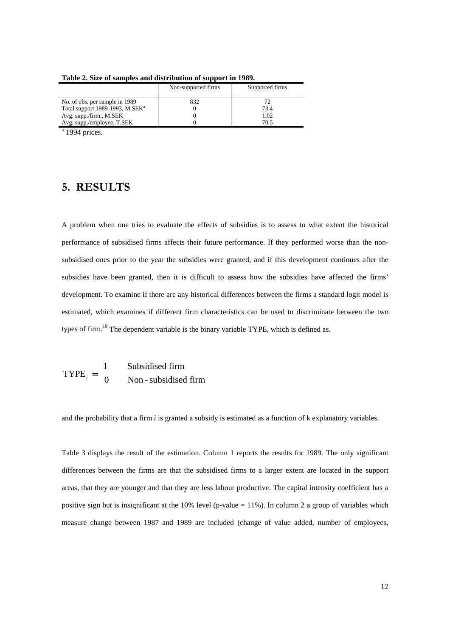|                                             | Non-supported firms | Supported firms |
|---------------------------------------------|---------------------|-----------------|
| No. of obs. per sample in 1989              | 832                 |                 |
| Total support 1989-1993, M.SEK <sup>a</sup> |                     | 73.4            |
| Avg. supp./firm., M.SEK                     |                     | 1.02            |
| Avg. supp./employee, T.SEK                  |                     | 70.5            |

**Table 2. Size of samples and distribution of support in 1989.**

 $a$  1994 prices.

## 5. RESULTS

A problem when one tries to evaluate the effects of subsidies is to assess to what extent the historical performance of subsidised firms affects their future performance. If they performed worse than the nonsubsidised ones prior to the year the subsidies were granted, and if this development continues after the subsidies have been granted, then it is difficult to assess how the subsidies have affected the firms' development. To examine if there are any historical differences between the firms a standard logit model is estimated, which examines if different firm characteristics can be used to discriminate between the two types of firm.<sup>19</sup> The dependent variable is the binary variable TYPE, which is defined as.

 $\text{TYPE}_i = \begin{cases} 1 & \text{Subsidised firm} \\ 0 & \text{Non-subsidised firm} \end{cases}$  $\mathsf{L}$ 1 0

and the probability that a firm *i* is granted a subsidy is estimated as a function of k explanatory variables.

Table 3 displays the result of the estimation. Column 1 reports the results for 1989. The only significant differences between the firms are that the subsidised firms to a larger extent are located in the support areas, that they are younger and that they are less labour productive. The capital intensity coefficient has a positive sign but is insignificant at the 10% level (p-value  $= 11\%$ ). In column 2 a group of variables which measure change between 1987 and 1989 are included (change of value added, number of employees,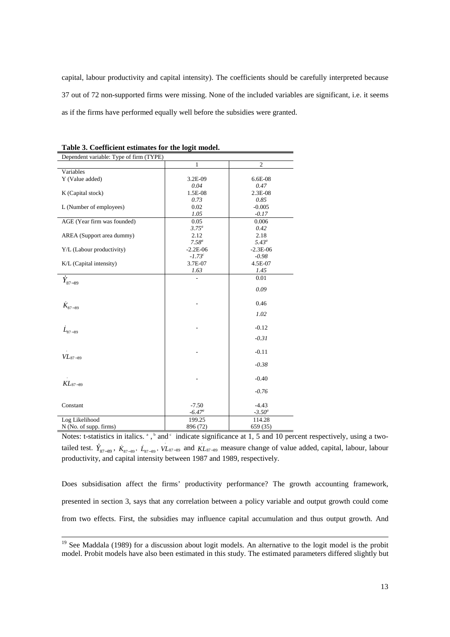capital, labour productivity and capital intensity). The coefficients should be carefully interpreted because 37 out of 72 non-supported firms were missing. None of the included variables are significant, i.e. it seems as if the firms have performed equally well before the subsidies were granted.

| socialcient commutes for the fo<br>Dependent variable: Type of firm (TYPE)                                 |             |                |  |  |  |  |
|------------------------------------------------------------------------------------------------------------|-------------|----------------|--|--|--|--|
|                                                                                                            | 1           | $\overline{c}$ |  |  |  |  |
| Variables                                                                                                  |             |                |  |  |  |  |
| Y (Value added)                                                                                            | 3.2E-09     | 6.6E-08        |  |  |  |  |
|                                                                                                            | 0.04        | 0.47           |  |  |  |  |
| K (Capital stock)                                                                                          | 1.5E-08     | 2.3E-08        |  |  |  |  |
|                                                                                                            | 0.73        | 0.85           |  |  |  |  |
| L (Number of employees)                                                                                    | 0.02        | $-0.005$       |  |  |  |  |
|                                                                                                            | 1.05        | $-0.17$        |  |  |  |  |
| AGE (Year firm was founded)                                                                                | 0.05        | 0.006          |  |  |  |  |
|                                                                                                            | $3.75^a$    | 0.42           |  |  |  |  |
| AREA (Support area dummy)                                                                                  | 2.12        | 2.18           |  |  |  |  |
|                                                                                                            | $7.58^a$    | $5.43^{\circ}$ |  |  |  |  |
| Y/L (Labour productivity)                                                                                  | $-2.2E-06$  | $-2.3E-06$     |  |  |  |  |
|                                                                                                            | $-1.73^{c}$ | $-0.98$        |  |  |  |  |
| K/L (Capital intensity)                                                                                    | 3.7E-07     | 4.5E-07        |  |  |  |  |
|                                                                                                            | 1.63        | 1.45           |  |  |  |  |
|                                                                                                            |             | 0.01           |  |  |  |  |
| $Y_{87-89}$                                                                                                |             |                |  |  |  |  |
|                                                                                                            |             | 0.09           |  |  |  |  |
|                                                                                                            |             |                |  |  |  |  |
| $K_{\rm 87-89}$                                                                                            |             | 0.46           |  |  |  |  |
|                                                                                                            |             | 1.02           |  |  |  |  |
|                                                                                                            |             |                |  |  |  |  |
| $\dot{L}_{87-89}$                                                                                          |             | $-0.12$        |  |  |  |  |
|                                                                                                            |             |                |  |  |  |  |
|                                                                                                            |             | $-0.31$        |  |  |  |  |
|                                                                                                            |             |                |  |  |  |  |
| $VL_{87-89}$                                                                                               |             | $-0.11$        |  |  |  |  |
|                                                                                                            |             | $-0.38$        |  |  |  |  |
|                                                                                                            |             |                |  |  |  |  |
|                                                                                                            |             | $-0.40$        |  |  |  |  |
| $KL_{87-89}$                                                                                               |             |                |  |  |  |  |
|                                                                                                            |             | $-0.76$        |  |  |  |  |
|                                                                                                            |             |                |  |  |  |  |
| Constant                                                                                                   | $-7.50$     | $-4.43$        |  |  |  |  |
|                                                                                                            | $-6.47^a$   | $-3.50^a$      |  |  |  |  |
| Log Likelihood                                                                                             | 199.25      | 114.28         |  |  |  |  |
| N (No. of supp. firms)                                                                                     | 896 (72)    | 659 (35)       |  |  |  |  |
| Notes: t-statistics in italics. $\alpha$ , $\alpha$ and $\alpha$ indicate significance at 1, 5 and 10 per  |             |                |  |  |  |  |
|                                                                                                            |             |                |  |  |  |  |
| tailed test. $Y_{87-89}$ , $K_{87-89}$ , $L_{87-89}$ , $V_{87-89}$ and $KL_{87-89}$ measure change of valu |             |                |  |  |  |  |

**Table 3. Coefficient estimates for the logit model.**

Notes: t-statistics in italics.  $\alpha$ ,  $\beta$  and  $\alpha$  indicate significance at 1, 5 and 10 percent respectively, using a two-<sub>87-89</sub>, *VL*<sub>87-89</sub> and *KL*<sub>87-89</sub> measure change of value added, capital, labour, labour productivity, and capital intensity between 1987 and 1989, respectively.

Does subsidisation affect the firms' productivity performance? The growth accounting framework, presented in section 3, says that any correlation between a policy variable and output growth could come from two effects. First, the subsidies may influence capital accumulation and thus output growth. And

<sup>&</sup>lt;sup>19</sup> See Maddala (1989) for a discussion about logit models. An alternative to the logit model is the probit model. Probit models have also been estimated in this study. The estimated parameters differed slightly but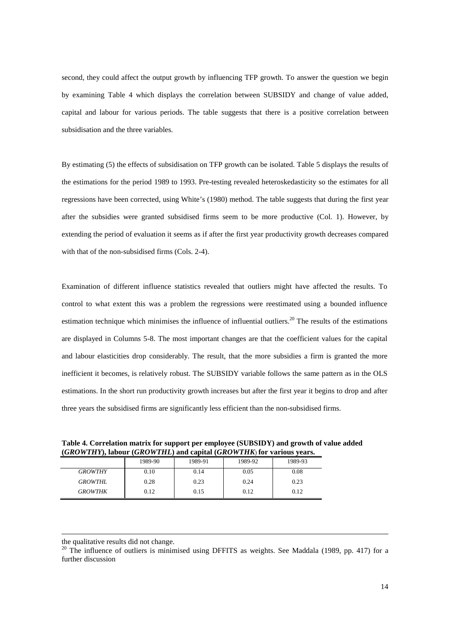second, they could affect the output growth by influencing TFP growth. To answer the question we begin by examining Table 4 which displays the correlation between SUBSIDY and change of value added, capital and labour for various periods. The table suggests that there is a positive correlation between subsidisation and the three variables.

By estimating (5) the effects of subsidisation on TFP growth can be isolated. Table 5 displays the results of the estimations for the period 1989 to 1993. Pre-testing revealed heteroskedasticity so the estimates for all regressions have been corrected, using White's (1980) method. The table suggests that during the first year after the subsidies were granted subsidised firms seem to be more productive (Col. 1). However, by extending the period of evaluation it seems as if after the first year productivity growth decreases compared with that of the non-subsidised firms (Cols. 2-4).

Examination of different influence statistics revealed that outliers might have affected the results. To control to what extent this was a problem the regressions were reestimated using a bounded influence estimation technique which minimises the influence of influential outliers.<sup>20</sup> The results of the estimations are displayed in Columns 5-8. The most important changes are that the coefficient values for the capital and labour elasticities drop considerably. The result, that the more subsidies a firm is granted the more inefficient it becomes, is relatively robust. The SUBSIDY variable follows the same pattern as in the OLS estimations. In the short run productivity growth increases but after the first year it begins to drop and after three years the subsidised firms are significantly less efficient than the non-subsidised firms.

**Table 4. Correlation matrix for support per employee (SUBSIDY) and growth of value added (***GROWTHY***), labour (***GROWTHL***) and capital (***GROWTHK*) **for various years.**

|                | 1989-90 | 1989-91 | 1989-92 | 1989-93 |
|----------------|---------|---------|---------|---------|
| <b>GROWTHY</b> | 0.10    | 0.14    | 0.05    | 0.08    |
| <b>GROWTHL</b> | 0.28    | 0.23    | 0.24    | 0.23    |
| <b>GROWTHK</b> | 0.12    | 0.15    | 0.12    | 0.12    |

l

the qualitative results did not change.

 $20$  The influence of outliers is minimised using DFFITS as weights. See Maddala (1989, pp. 417) for a further discussion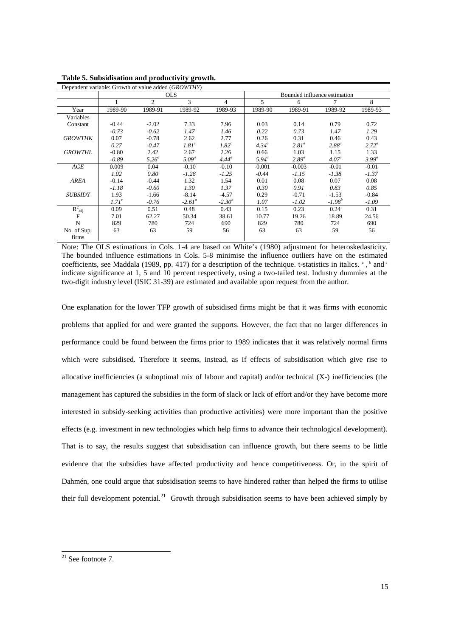| Dependent variable: Growth of value added (GROWTHY) |                   |                |                   |                   |                              |            |                   |                |  |
|-----------------------------------------------------|-------------------|----------------|-------------------|-------------------|------------------------------|------------|-------------------|----------------|--|
|                                                     |                   |                | <b>OLS</b>        |                   | Bounded influence estimation |            |                   |                |  |
|                                                     |                   | $\overline{c}$ | 3                 | 4                 | 5                            | 6          |                   | 8              |  |
| Year                                                | 1989-90           | 1989-91        | 1989-92           | 1989-93           | 1989-90                      | 1989-91    | 1989-92           | 1989-93        |  |
| Variables                                           |                   |                |                   |                   |                              |            |                   |                |  |
| Constant                                            | $-0.44$           | $-2.02$        | 7.33              | 7.96              | 0.03                         | 0.14       | 0.79              | 0.72           |  |
|                                                     | $-0.73$           | $-0.62$        | 1.47              | 1.46              | 0.22                         | 0.73       | 1.47              | 1.29           |  |
| <b>GROWTHK</b>                                      | 0.07              | $-0.78$        | 2.62              | 2.77              | 0.26                         | 0.31       | 0.46              | 0.43           |  |
|                                                     | 0.27              | $-0.47$        | 1.81 <sup>c</sup> | 1.82 <sup>c</sup> | $4.34^{\circ}$               | $2.81^a$   | $2.88^a$          | $2.72^{\circ}$ |  |
| <b>GROWTHL</b>                                      | $-0.80$           | 2.42           | 2.67              | 2.26              | 0.66                         | 1.03       | 1.15              | 1.33           |  |
|                                                     | $-0.89$           | $5.26^a$       | $5.09^a$          | $4.44^{\circ}$    | $5.94^{\circ}$               | $2.89^{a}$ | 4.07 <sup>a</sup> | $3.99^{a}$     |  |
| AGE                                                 | 0.009             | 0.04           | $-0.10$           | $-0.10$           | $-0.001$                     | $-0.003$   | $-0.01$           | $-0.01$        |  |
|                                                     | 1.02              | 0.80           | $-1.28$           | $-1.25$           | $-0.44$                      | $-1.15$    | $-1.38$           | $-1.37$        |  |
| AREA                                                | $-0.14$           | $-0.44$        | 1.32              | 1.54              | 0.01                         | 0.08       | 0.07              | 0.08           |  |
|                                                     | $-1.18$           | $-0.60$        | 1.30              | 1.37              | 0.30                         | 0.91       | 0.83              | 0.85           |  |
| <b>SUBSIDY</b>                                      | 1.93              | $-1.66$        | $-8.14$           | $-4.57$           | 0.29                         | $-0.71$    | $-1.53$           | $-0.84$        |  |
|                                                     | 1.71 <sup>c</sup> | $-0.76$        | $-2.61^a$         | $-2.30^{b}$       | 1.07                         | $-1.02$    | $-1.98^{b}$       | $-1.09$        |  |
| $R^2_{adj}$                                         | 0.09              | 0.51           | 0.48              | 0.43              | 0.15                         | 0.23       | 0.24              | 0.31           |  |
| $\mathbf{F}$                                        | 7.01              | 62.27          | 50.34             | 38.61             | 10.77                        | 19.26      | 18.89             | 24.56          |  |
| $\mathbf N$                                         | 829               | 780            | 724               | 690               | 829                          | 780        | 724               | 690            |  |
| No. of Sup.                                         | 63                | 63             | 59                | 56                | 63                           | 63         | 59                | 56             |  |
| firms                                               |                   |                |                   |                   |                              |            |                   |                |  |

**Table 5. Subsidisation and productivity growth.**

Note: The OLS estimations in Cols. 1-4 are based on White's (1980) adjustment for heteroskedasticity. The bounded influence estimations in Cols. 5-8 minimise the influence outliers have on the estimated coefficients, see Maddala (1989, pp. 417) for a description of the technique. t-statistics in italics.  $\degree$ ,  $\degree$  and  $\degree$ indicate significance at 1, 5 and 10 percent respectively, using a two-tailed test. Industry dummies at the two-digit industry level (ISIC 31-39) are estimated and available upon request from the author.

One explanation for the lower TFP growth of subsidised firms might be that it was firms with economic problems that applied for and were granted the supports. However, the fact that no larger differences in performance could be found between the firms prior to 1989 indicates that it was relatively normal firms which were subsidised. Therefore it seems, instead, as if effects of subsidisation which give rise to allocative inefficiencies (a suboptimal mix of labour and capital) and/or technical (X-) inefficiencies (the management has captured the subsidies in the form of slack or lack of effort and/or they have become more interested in subsidy-seeking activities than productive activities) were more important than the positive effects (e.g. investment in new technologies which help firms to advance their technological development). That is to say, the results suggest that subsidisation can influence growth, but there seems to be little evidence that the subsidies have affected productivity and hence competitiveness. Or, in the spirit of Dahmén, one could argue that subsidisation seems to have hindered rather than helped the firms to utilise their full development potential.<sup>21</sup> Growth through subsidisation seems to have been achieved simply by

l

 $21$  See footnote 7.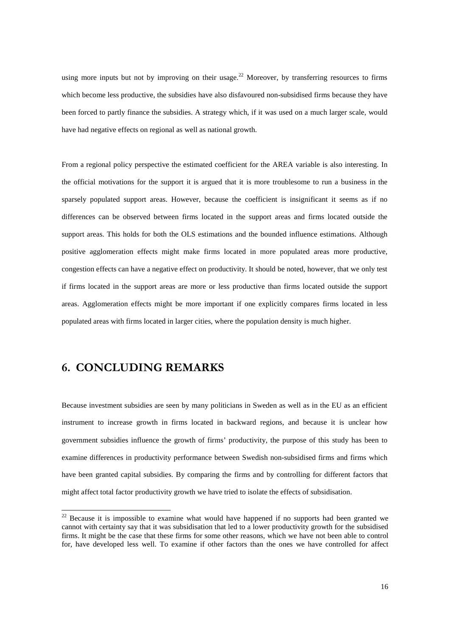using more inputs but not by improving on their usage.<sup>22</sup> Moreover, by transferring resources to firms which become less productive, the subsidies have also disfavoured non-subsidised firms because they have been forced to partly finance the subsidies. A strategy which, if it was used on a much larger scale, would have had negative effects on regional as well as national growth.

From a regional policy perspective the estimated coefficient for the AREA variable is also interesting. In the official motivations for the support it is argued that it is more troublesome to run a business in the sparsely populated support areas. However, because the coefficient is insignificant it seems as if no differences can be observed between firms located in the support areas and firms located outside the support areas. This holds for both the OLS estimations and the bounded influence estimations. Although positive agglomeration effects might make firms located in more populated areas more productive, congestion effects can have a negative effect on productivity. It should be noted, however, that we only test if firms located in the support areas are more or less productive than firms located outside the support areas. Agglomeration effects might be more important if one explicitly compares firms located in less populated areas with firms located in larger cities, where the population density is much higher.

#### 6. CONCLUDING REMARKS

l

Because investment subsidies are seen by many politicians in Sweden as well as in the EU as an efficient instrument to increase growth in firms located in backward regions, and because it is unclear how government subsidies influence the growth of firms' productivity, the purpose of this study has been to examine differences in productivity performance between Swedish non-subsidised firms and firms which have been granted capital subsidies. By comparing the firms and by controlling for different factors that might affect total factor productivity growth we have tried to isolate the effects of subsidisation.

 $22$  Because it is impossible to examine what would have happened if no supports had been granted we cannot with certainty say that it was subsidisation that led to a lower productivity growth for the subsidised firms. It might be the case that these firms for some other reasons, which we have not been able to control for, have developed less well. To examine if other factors than the ones we have controlled for affect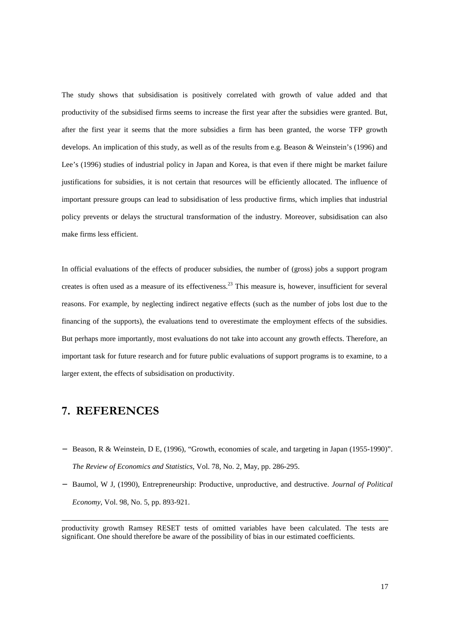The study shows that subsidisation is positively correlated with growth of value added and that productivity of the subsidised firms seems to increase the first year after the subsidies were granted. But, after the first year it seems that the more subsidies a firm has been granted, the worse TFP growth develops. An implication of this study, as well as of the results from e.g. Beason & Weinstein's (1996) and Lee's (1996) studies of industrial policy in Japan and Korea, is that even if there might be market failure justifications for subsidies, it is not certain that resources will be efficiently allocated. The influence of important pressure groups can lead to subsidisation of less productive firms, which implies that industrial policy prevents or delays the structural transformation of the industry. Moreover, subsidisation can also make firms less efficient.

In official evaluations of the effects of producer subsidies, the number of (gross) jobs a support program creates is often used as a measure of its effectiveness.23 This measure is, however, insufficient for several reasons. For example, by neglecting indirect negative effects (such as the number of jobs lost due to the financing of the supports), the evaluations tend to overestimate the employment effects of the subsidies. But perhaps more importantly, most evaluations do not take into account any growth effects. Therefore, an important task for future research and for future public evaluations of support programs is to examine, to a larger extent, the effects of subsidisation on productivity.

## 7. REFERENCES

- − Beason, R & Weinstein, D E, (1996), "Growth, economies of scale, and targeting in Japan (1955-1990)". *The Review of Economics and Statistics*, Vol. 78, No. 2, May, pp. 286-295.
- − Baumol, W J, (1990), Entrepreneurship: Productive, unproductive, and destructive. *Journal of Political Economy*, Vol. 98, No. 5, pp. 893-921.

productivity growth Ramsey RESET tests of omitted variables have been calculated. The tests are significant. One should therefore be aware of the possibility of bias in our estimated coefficients.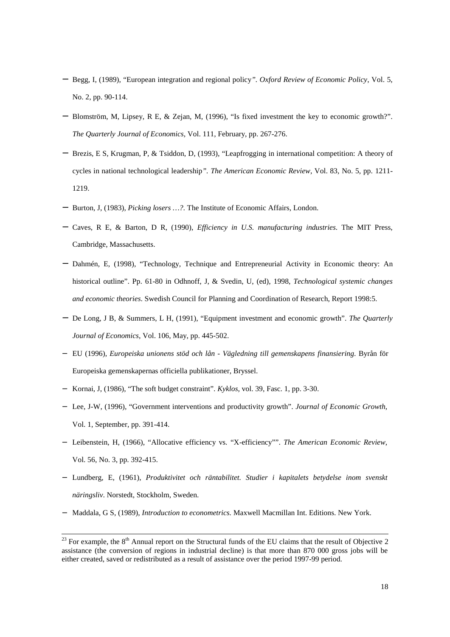- − Begg, I, (1989), "European integration and regional policy*". Oxford Review of Economic Policy*, Vol. 5, No. 2, pp. 90-114.
- − Blomström, M, Lipsey, R E, & Zejan, M, (1996), "Is fixed investment the key to economic growth?". *The Quarterly Journal of Economics*, Vol. 111, February, pp. 267-276.
- − Brezis, E S, Krugman, P, & Tsiddon, D, (1993), "Leapfrogging in international competition: A theory of cycles in national technological leadership*". The American Economic Review*, Vol. 83, No. 5, pp. 1211- 1219.
- − Burton, J, (1983), *Picking losers …?*. The Institute of Economic Affairs, London.
- − Caves, R E, & Barton, D R, (1990), *Efficiency in U.S. manufacturing industries*. The MIT Press, Cambridge, Massachusetts.
- − Dahmén, E, (1998), "Technology, Technique and Entrepreneurial Activity in Economic theory: An historical outline". Pp. 61-80 in Odhnoff, J, & Svedin, U, (ed), 1998, *Technological systemic changes and economic theories*. Swedish Council for Planning and Coordination of Research, Report 1998:5.
- − De Long, J B, & Summers, L H, (1991), "Equipment investment and economic growth". *The Quarterly Journal of Economics*, Vol. 106, May, pp. 445-502.
- − EU (1996), *Europeiska unionens stöd och lån Vägledning till gemenskapens finansiering*. Byrån för Europeiska gemenskapernas officiella publikationer, Bryssel.
- − Kornai, J, (1986), "The soft budget constraint". *Kyklos*, vol. 39, Fasc. 1, pp. 3-30.
- − Lee, J-W, (1996), "Government interventions and productivity growth". *Journal of Economic Growth*, Vol. 1, September, pp. 391-414.
- − Leibenstein, H, (1966), "Allocative efficiency vs. "X-efficiency"". *The American Economic Review*, Vol. 56, No. 3, pp. 392-415.
- − Lundberg, E, (1961), *Produktivitet och räntabilitet. Studier i kapitalets betydelse inom svenskt näringsliv*. Norstedt, Stockholm, Sweden.
- − Maddala, G S, (1989), *Introduction to econometrics.* Maxwell Macmillan Int. Editions. New York.

 $23$  For example, the  $8<sup>th</sup>$  Annual report on the Structural funds of the EU claims that the result of Objective 2 assistance (the conversion of regions in industrial decline) is that more than 870 000 gross jobs will be either created, saved or redistributed as a result of assistance over the period 1997-99 period.